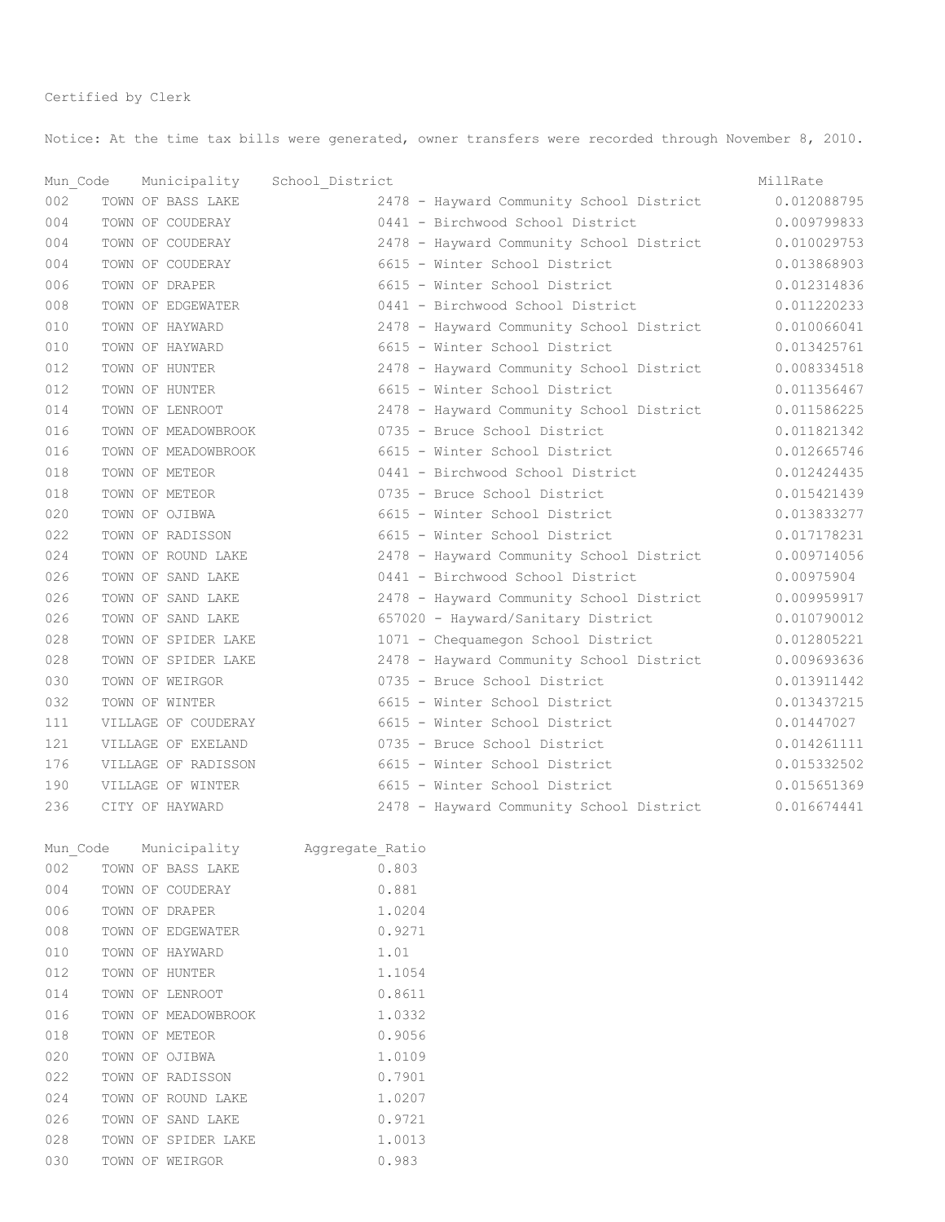Notice: At the time tax bills were generated, owner transfers were recorded through November 8, 2010.

| Mun Code |  | Municipality        | School District              |       |                                          | MillRate    |
|----------|--|---------------------|------------------------------|-------|------------------------------------------|-------------|
| 002      |  | TOWN OF BASS LAKE   |                              |       | 2478 - Hayward Community School District | 0.012088795 |
| 004      |  | TOWN OF COUDERAY    |                              |       | 0441 - Birchwood School District         | 0.009799833 |
| 004      |  | TOWN OF COUDERAY    |                              |       | 2478 - Hayward Community School District | 0.010029753 |
| 004      |  | TOWN OF COUDERAY    |                              |       | 6615 - Winter School District            | 0.013868903 |
| 006      |  | TOWN OF DRAPER      |                              |       | 6615 - Winter School District            | 0.012314836 |
| 008      |  | TOWN OF EDGEWATER   |                              |       | 0441 - Birchwood School District         | 0.011220233 |
| 010      |  | TOWN OF HAYWARD     |                              |       | 2478 - Hayward Community School District | 0.010066041 |
| 010      |  | TOWN OF HAYWARD     |                              |       | 6615 - Winter School District            | 0.013425761 |
| 012      |  | TOWN OF HUNTER      |                              |       | 2478 - Hayward Community School District | 0.008334518 |
| 012      |  | TOWN OF HUNTER      |                              |       | 6615 - Winter School District            | 0.011356467 |
| 014      |  | TOWN OF LENROOT     |                              |       | 2478 - Hayward Community School District | 0.011586225 |
| 016      |  | TOWN OF MEADOWBROOK |                              |       | 0735 - Bruce School District             | 0.011821342 |
| 016      |  | TOWN OF MEADOWBROOK |                              |       | 6615 - Winter School District            | 0.012665746 |
| 018      |  | TOWN OF METEOR      |                              |       | 0441 - Birchwood School District         | 0.012424435 |
| 018      |  | TOWN OF METEOR      |                              |       | 0735 - Bruce School District             | 0.015421439 |
| 020      |  | TOWN OF OJIBWA      |                              |       | 6615 - Winter School District            | 0.013833277 |
| 022      |  | TOWN OF RADISSON    |                              |       | 6615 - Winter School District            | 0.017178231 |
| 024      |  | TOWN OF ROUND LAKE  |                              |       | 2478 - Hayward Community School District | 0.009714056 |
| 026      |  | TOWN OF SAND LAKE   |                              |       | 0441 - Birchwood School District         | 0.00975904  |
| 026      |  | TOWN OF SAND LAKE   |                              |       | 2478 - Hayward Community School District | 0.009959917 |
| 026      |  | TOWN OF SAND LAKE   |                              |       | 657020 - Hayward/Sanitary District       | 0.010790012 |
| 028      |  | TOWN OF SPIDER LAKE |                              |       | 1071 - Chequamegon School District       | 0.012805221 |
| 028      |  | TOWN OF SPIDER LAKE |                              |       | 2478 - Hayward Community School District | 0.009693636 |
| 030      |  | TOWN OF WEIRGOR     |                              |       | 0735 - Bruce School District             | 0.013911442 |
| 032      |  | TOWN OF WINTER      |                              |       | 6615 - Winter School District            | 0.013437215 |
| 111      |  | VILLAGE OF COUDERAY |                              |       | 6615 - Winter School District            | 0.01447027  |
| 121      |  | VILLAGE OF EXELAND  |                              |       | 0735 - Bruce School District             | 0.014261111 |
| 176      |  | VILLAGE OF RADISSON |                              |       | 6615 - Winter School District            | 0.015332502 |
| 190      |  | VILLAGE OF WINTER   |                              |       | 6615 - Winter School District            | 0.015651369 |
| 236      |  | CITY OF HAYWARD     |                              |       | 2478 - Hayward Community School District | 0.016674441 |
| Mun Code |  |                     | Municipality Aggregate Ratio |       |                                          |             |
| 002      |  | TOWN OF BASS LAKE   |                              | 0.803 |                                          |             |
| 004      |  | TOWN OF COUDERAY    |                              | 0.881 |                                          |             |

| UU 4 |  | IUWN UP UUDDEKAI    | U.OOI  |
|------|--|---------------------|--------|
| 006  |  | TOWN OF DRAPER      | 1.0204 |
| 008  |  | TOWN OF EDGEWATER   | 0.9271 |
| 010  |  | TOWN OF HAYWARD     | 1.01   |
| 012  |  | TOWN OF HUNTER      | 1.1054 |
| 014  |  | TOWN OF LENROOT     | 0.8611 |
| 016  |  | TOWN OF MEADOWBROOK | 1.0332 |
| 018  |  | TOWN OF METEOR      | 0.9056 |
| 020  |  | TOWN OF OJIBWA      | 1.0109 |
| 022  |  | TOWN OF RADISSON    | 0.7901 |
| 024  |  | TOWN OF ROUND LAKE  | 1.0207 |
| 026  |  | TOWN OF SAND LAKE   | 0.9721 |
| 028  |  | TOWN OF SPIDER LAKE | 1.0013 |
| 030  |  | TOWN OF WEIRGOR     | 0.983  |